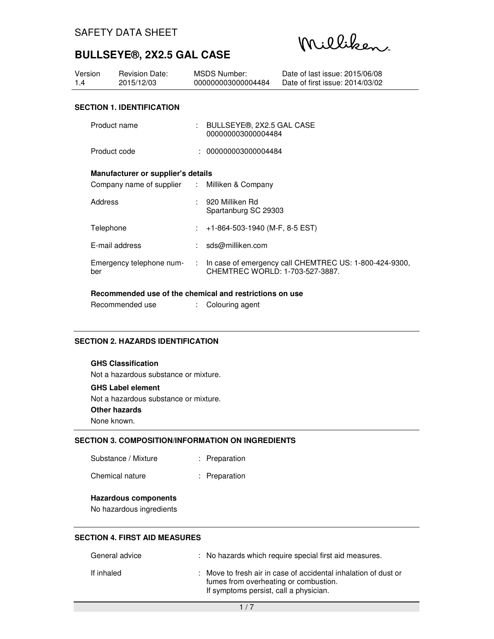Milliken

| Version<br>1.4 | <b>Revision Date:</b><br>2015/12/03           |    | MSDS Number:<br>000000003000004484                | Date of last issue: 2015/06/08<br>Date of first issue: 2014/03/02 |  |
|----------------|-----------------------------------------------|----|---------------------------------------------------|-------------------------------------------------------------------|--|
|                |                                               |    |                                                   |                                                                   |  |
|                | <b>SECTION 1. IDENTIFICATION</b>              |    |                                                   |                                                                   |  |
| Product name   |                                               |    | : BULLSEYE®, 2X2.5 GAL CASE<br>000000003000004484 |                                                                   |  |
| Product code   |                                               |    | : 000000003000004484                              |                                                                   |  |
|                | Manufacturer or supplier's details            |    |                                                   |                                                                   |  |
|                | Company name of supplier : Milliken & Company |    |                                                   |                                                                   |  |
| Address        |                                               |    | : 920 Milliken Rd<br>Spartanburg SC 29303         |                                                                   |  |
| Telephone      |                                               |    | +1-864-503-1940 (M-F, 8-5 EST)                    |                                                                   |  |
|                | E-mail address                                | ÷. | sds@milliken.com                                  |                                                                   |  |
| ber            | Emergency telephone num-                      |    | CHEMTREC WORLD: 1-703-527-3887.                   | In case of emergency call CHEMTREC US: 1-800-424-9300,            |  |

#### **Recommended use of the chemical and restrictions on use**

| Recommended use |  | Colouring agent |
|-----------------|--|-----------------|
|-----------------|--|-----------------|

### **SECTION 2. HAZARDS IDENTIFICATION**

## **GHS Classification**

Not a hazardous substance or mixture.

## **GHS Label element**

Not a hazardous substance or mixture.

**Other hazards** 

None known.

### **SECTION 3. COMPOSITION/INFORMATION ON INGREDIENTS**

| Chemical nature | Preparation |
|-----------------|-------------|
|-----------------|-------------|

#### **Hazardous components**

No hazardous ingredients

## **SECTION 4. FIRST AID MEASURES**

| General advice | : No hazards which require special first aid measures.                                                                                             |
|----------------|----------------------------------------------------------------------------------------------------------------------------------------------------|
| If inhaled     | : Move to fresh air in case of accidental inhalation of dust or<br>fumes from overheating or combustion.<br>If symptoms persist, call a physician. |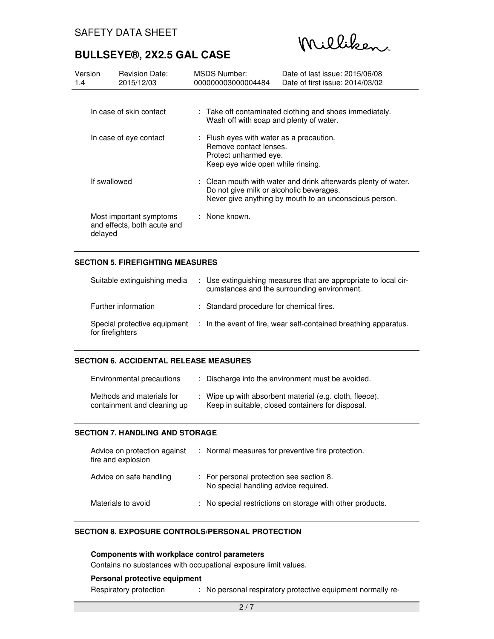Milliken

| Version<br>1.4 | <b>Revision Date:</b><br>2015/12/03                    | <b>MSDS Number:</b><br>000000003000004484       | Date of last issue: 2015/06/08<br>Date of first issue: 2014/03/02                                                                                                    |
|----------------|--------------------------------------------------------|-------------------------------------------------|----------------------------------------------------------------------------------------------------------------------------------------------------------------------|
|                | In case of skin contact                                |                                                 | : Take off contaminated clothing and shoes immediately.<br>Wash off with soap and plenty of water.                                                                   |
|                | In case of eye contact                                 | Remove contact lenses.<br>Protect unharmed eye. | : Flush eyes with water as a precaution.<br>Keep eye wide open while rinsing.                                                                                        |
|                | If swallowed                                           |                                                 | : Clean mouth with water and drink afterwards plenty of water.<br>Do not give milk or alcoholic beverages.<br>Never give anything by mouth to an unconscious person. |
| delayed        | Most important symptoms<br>and effects, both acute and | : None known.                                   |                                                                                                                                                                      |

## **SECTION 5. FIREFIGHTING MEASURES**

| Suitable extinguishing media                     | : Use extinguishing measures that are appropriate to local cir-<br>cumstances and the surrounding environment. |
|--------------------------------------------------|----------------------------------------------------------------------------------------------------------------|
| Further information                              | : Standard procedure for chemical fires.                                                                       |
| Special protective equipment<br>for firefighters | : In the event of fire, wear self-contained breathing apparatus.                                               |

## **SECTION 6. ACCIDENTAL RELEASE MEASURES**

| Environmental precautions                                | Discharge into the environment must be avoided.                                                              |
|----------------------------------------------------------|--------------------------------------------------------------------------------------------------------------|
| Methods and materials for<br>containment and cleaning up | : Wipe up with absorbent material (e.g. cloth, fleece).<br>Keep in suitable, closed containers for disposal. |

### **SECTION 7. HANDLING AND STORAGE**

| Advice on protection against<br>fire and explosion | : Normal measures for preventive fire protection.                                |
|----------------------------------------------------|----------------------------------------------------------------------------------|
| Advice on safe handling                            | : For personal protection see section 8.<br>No special handling advice required. |
| Materials to avoid                                 | : No special restrictions on storage with other products.                        |

### **SECTION 8. EXPOSURE CONTROLS/PERSONAL PROTECTION**

#### **Components with workplace control parameters**

Contains no substances with occupational exposure limit values.

#### **Personal protective equipment**

Respiratory protection : No personal respiratory protective equipment normally re-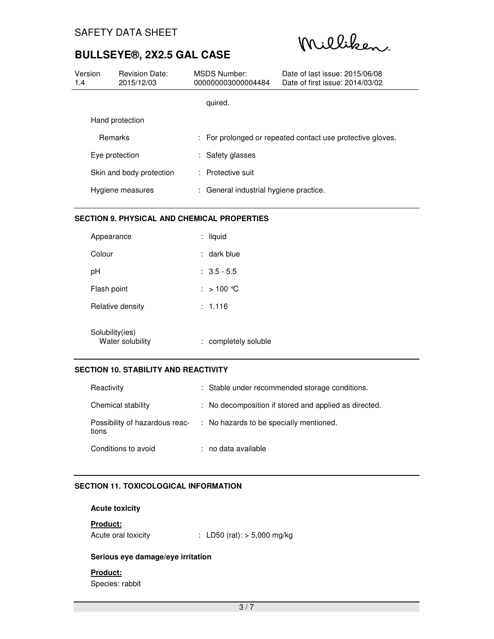Milliken

| Version<br>1.4 | <b>Revision Date:</b><br>2015/12/03 | MSDS Number:<br>000000003000004484     | Date of last issue: 2015/06/08<br>Date of first issue: 2014/03/02 |
|----------------|-------------------------------------|----------------------------------------|-------------------------------------------------------------------|
|                |                                     | quired.                                |                                                                   |
|                | Hand protection                     |                                        |                                                                   |
|                | <b>Remarks</b>                      |                                        | : For prolonged or repeated contact use protective gloves.        |
|                | Eye protection                      | : Safety glasses                       |                                                                   |
|                | Skin and body protection            | : Protective suit                      |                                                                   |
|                | Hygiene measures                    | : General industrial hygiene practice. |                                                                   |

## **SECTION 9. PHYSICAL AND CHEMICAL PROPERTIES**

| Appearance                          | ÷. | liquid             |
|-------------------------------------|----|--------------------|
| Colour                              |    | : dark blue        |
| рH                                  |    | $: 3.5 - 5.5$      |
| Flash point                         |    | : > 100 ℃          |
| Relative density                    |    | : 1.116            |
| Solubility(ies)<br>Water solubility |    | completely soluble |

## **SECTION 10. STABILITY AND REACTIVITY**

| Reactivity                              | : Stable under recommended storage conditions.        |
|-----------------------------------------|-------------------------------------------------------|
| Chemical stability                      | : No decomposition if stored and applied as directed. |
| Possibility of hazardous reac-<br>tions | : No hazards to be specially mentioned.               |
| Conditions to avoid                     | : no data available                                   |

## **SECTION 11. TOXICOLOGICAL INFORMATION**

## **Acute toxicity**

## **Product:**

Acute oral toxicity : LD50 (rat): > 5,000 mg/kg

## **Serious eye damage/eye irritation**

## **Product:**

Species: rabbit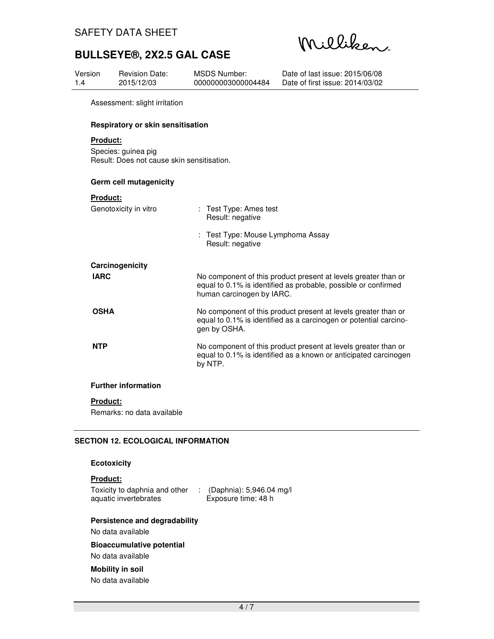Milliken

| Version<br>1.4 |                                                                               | <b>Revision Date:</b><br>2015/12/03 | <b>MSDS Number:</b><br>000000003000004484                | Date of last issue: 2015/06/08<br>Date of first issue: 2014/03/02                                                                   |  |
|----------------|-------------------------------------------------------------------------------|-------------------------------------|----------------------------------------------------------|-------------------------------------------------------------------------------------------------------------------------------------|--|
|                |                                                                               | Assessment: slight irritation       |                                                          |                                                                                                                                     |  |
|                | Respiratory or skin sensitisation                                             |                                     |                                                          |                                                                                                                                     |  |
|                | Product:<br>Species: guinea pig<br>Result: Does not cause skin sensitisation. |                                     |                                                          |                                                                                                                                     |  |
|                | Germ cell mutagenicity                                                        |                                     |                                                          |                                                                                                                                     |  |
|                | <b>Product:</b>                                                               | Genotoxicity in vitro               | : Test Type: Ames test<br>Result: negative               |                                                                                                                                     |  |
|                |                                                                               |                                     | Test Type: Mouse Lymphoma Assay<br>t<br>Result: negative |                                                                                                                                     |  |
|                |                                                                               | Carcinogenicity                     |                                                          |                                                                                                                                     |  |
|                | <b>IARC</b>                                                                   |                                     | human carcinogen by IARC.                                | No component of this product present at levels greater than or<br>equal to 0.1% is identified as probable, possible or confirmed    |  |
|                | <b>OSHA</b>                                                                   |                                     | gen by OSHA.                                             | No component of this product present at levels greater than or<br>equal to 0.1% is identified as a carcinogen or potential carcino- |  |
|                | <b>NTP</b>                                                                    |                                     | by NTP.                                                  | No component of this product present at levels greater than or<br>equal to 0.1% is identified as a known or anticipated carcinogen  |  |
|                |                                                                               | <b>Further information</b>          |                                                          |                                                                                                                                     |  |
|                | <b>Product:</b>                                                               | Remarks: no data available          |                                                          |                                                                                                                                     |  |

### **SECTION 12. ECOLOGICAL INFORMATION**

#### **Ecotoxicity**

## **Product:**

Toxicity to daphnia and other : (Daphnia): 5,946.04 mg/l aquatic invertebrates Exposure time: 48 h

## **Persistence and degradability**

#### No data available

**Bioaccumulative potential**  No data available

## **Mobility in soil**

No data available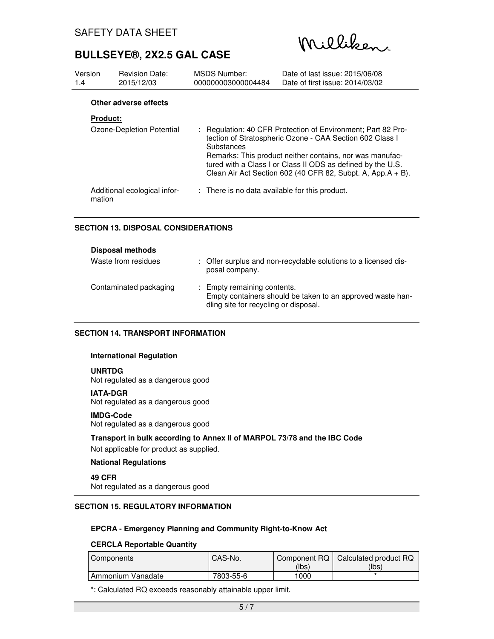Milliken

| Version<br>1.4  | <b>Revision Date:</b><br>2015/12/03 | <b>MSDS Number:</b><br>000000003000004484 | Date of last issue: 2015/06/08<br>Date of first issue: 2014/03/02                                                                                                                          |  |  |
|-----------------|-------------------------------------|-------------------------------------------|--------------------------------------------------------------------------------------------------------------------------------------------------------------------------------------------|--|--|
|                 | Other adverse effects               |                                           |                                                                                                                                                                                            |  |  |
| <b>Product:</b> | Ozone-Depletion Potential           | Substances                                | : Regulation: 40 CFR Protection of Environment: Part 82 Pro-<br>tection of Stratospheric Ozone - CAA Section 602 Class I                                                                   |  |  |
|                 |                                     |                                           | Remarks: This product neither contains, nor was manufac-<br>tured with a Class I or Class II ODS as defined by the U.S.<br>Clean Air Act Section 602 (40 CFR 82, Subpt. A, App. $A + B$ ). |  |  |
| mation          | Additional ecological infor-        |                                           | : There is no data available for this product.                                                                                                                                             |  |  |

## **SECTION 13. DISPOSAL CONSIDERATIONS**

| <b>Disposal methods</b> |                                                                                                                                    |
|-------------------------|------------------------------------------------------------------------------------------------------------------------------------|
| Waste from residues     | : Offer surplus and non-recyclable solutions to a licensed dis-<br>posal company.                                                  |
| Contaminated packaging  | : Empty remaining contents.<br>Empty containers should be taken to an approved waste han-<br>dling site for recycling or disposal. |

## **SECTION 14. TRANSPORT INFORMATION**

#### **International Regulation**

#### **UNRTDG**

Not regulated as a dangerous good

#### **IATA-DGR**

Not regulated as a dangerous good

#### **IMDG-Code**

Not regulated as a dangerous good

#### **Transport in bulk according to Annex II of MARPOL 73/78 and the IBC Code**

Not applicable for product as supplied.

#### **National Regulations**

**49 CFR** Not regulated as a dangerous good

## **SECTION 15. REGULATORY INFORMATION**

#### **EPCRA - Emergency Planning and Community Right-to-Know Act**

#### **CERCLA Reportable Quantity**

| Components        | CAS-No.   | Component RQ  <br>(lbs) | Calculated product RQ<br>(lbs) |
|-------------------|-----------|-------------------------|--------------------------------|
| Ammonium Vanadate | 7803-55-6 | 1000                    |                                |

\*: Calculated RQ exceeds reasonably attainable upper limit.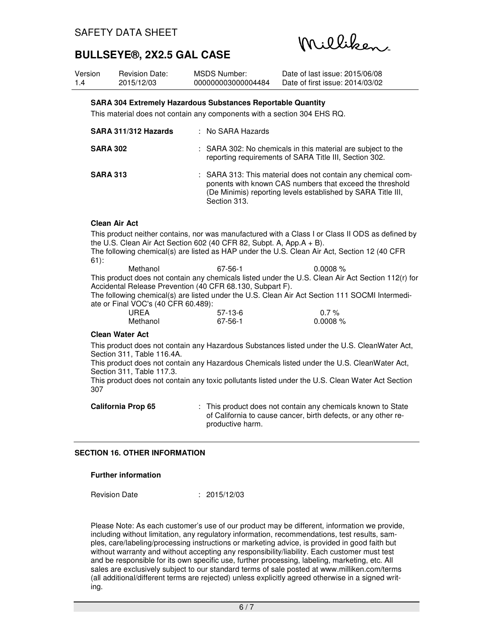Milliken

| Version | <b>Revision Date:</b> | MSDS Number:       | Date of last issue: 2015/06/08  |
|---------|-----------------------|--------------------|---------------------------------|
| 1.4     | 2015/12/03            | 000000003000004484 | Date of first issue: 2014/03/02 |

## **SARA 304 Extremely Hazardous Substances Reportable Quantity**

This material does not contain any components with a section 304 EHS RQ.

| SARA 311/312 Hazards | : No SARA Hazards                                                                                                                                                                                        |
|----------------------|----------------------------------------------------------------------------------------------------------------------------------------------------------------------------------------------------------|
| <b>SARA 302</b>      | : SARA 302: No chemicals in this material are subject to the<br>reporting requirements of SARA Title III, Section 302.                                                                                   |
| <b>SARA 313</b>      | : SARA 313: This material does not contain any chemical com-<br>ponents with known CAS numbers that exceed the threshold<br>(De Minimis) reporting levels established by SARA Title III,<br>Section 313. |

#### **Clean Air Act**

This product neither contains, nor was manufactured with a Class I or Class II ODS as defined by the U.S. Clean Air Act Section 602 (40 CFR 82, Subpt. A, App.A + B). The following chemical(s) are listed as HAP under the U.S. Clean Air Act, Section 12 (40 CFR 61):

Methanol 67-56-1 0.0008 % This product does not contain any chemicals listed under the U.S. Clean Air Act Section 112(r) for Accidental Release Prevention (40 CFR 68.130, Subpart F). The following chemical(s) are listed under the U.S. Clean Air Act Section 111 SOCMI Intermedi-

ate or Final VOC's (40 CFR 60.489):

| UREA     | 57-13-6       | $0.7\%$      |
|----------|---------------|--------------|
| Methanol | $67 - 56 - 1$ | $0.0008\ \%$ |

### **Clean Water Act**

This product does not contain any Hazardous Substances listed under the U.S. CleanWater Act, Section 311, Table 116.4A.

This product does not contain any Hazardous Chemicals listed under the U.S. CleanWater Act, Section 311, Table 117.3.

This product does not contain any toxic pollutants listed under the U.S. Clean Water Act Section 307

**California Prop 65** : This product does not contain any chemicals known to State of California to cause cancer, birth defects, or any other reproductive harm.

### **SECTION 16. OTHER INFORMATION**

#### **Further information**

Revision Date : 2015/12/03

Please Note: As each customer's use of our product may be different, information we provide, including without limitation, any regulatory information, recommendations, test results, samples, care/labeling/processing instructions or marketing advice, is provided in good faith but without warranty and without accepting any responsibility/liability. Each customer must test and be responsible for its own specific use, further processing, labeling, marketing, etc. All sales are exclusively subject to our standard terms of sale posted at www.milliken.com/terms (all additional/different terms are rejected) unless explicitly agreed otherwise in a signed writing.